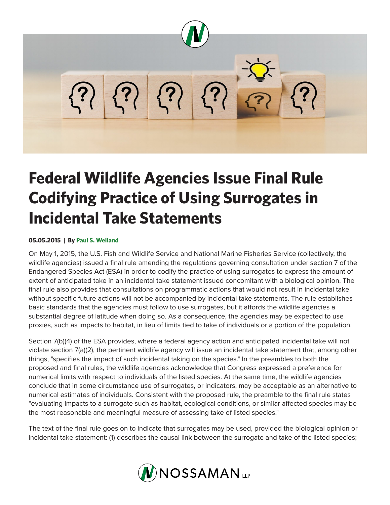

## **Federal Wildlife Agencies Issue Final Rule Codifying Practice of Using Surrogates in Incidental Take Statements**

## **05.05.2015 | By Paul S. Weiland**

On May 1, 2015, the U.S. Fish and Wildlife Service and National Marine Fisheries Service (collectively, the wildlife agencies) issued a final rule amending the regulations governing consultation under section 7 of the Endangered Species Act (ESA) in order to codify the practice of using surrogates to express the amount of extent of anticipated take in an incidental take statement issued concomitant with a biological opinion. The final rule also provides that consultations on programmatic actions that would not result in incidental take without specific future actions will not be accompanied by incidental take statements. The rule establishes basic standards that the agencies must follow to use surrogates, but it affords the wildlife agencies a substantial degree of latitude when doing so. As a consequence, the agencies may be expected to use proxies, such as impacts to habitat, in lieu of limits tied to take of individuals or a portion of the population.

Section 7(b)(4) of the ESA provides, where a federal agency action and anticipated incidental take will not violate section 7(a)(2), the pertinent wildlife agency will issue an incidental take statement that, among other things, "specifies the impact of such incidental taking on the species." In the preambles to both the proposed and final rules, the wildlife agencies acknowledge that Congress expressed a preference for numerical limits with respect to individuals of the listed species. At the same time, the wildlife agencies conclude that in some circumstance use of surrogates, or indicators, may be acceptable as an alternative to numerical estimates of individuals. Consistent with the proposed rule, the preamble to the final rule states "evaluating impacts to a surrogate such as habitat, ecological conditions, or similar affected species may be the most reasonable and meaningful measure of assessing take of listed species."

The text of the final rule goes on to indicate that surrogates may be used, provided the biological opinion or incidental take statement: (1) describes the causal link between the surrogate and take of the listed species;